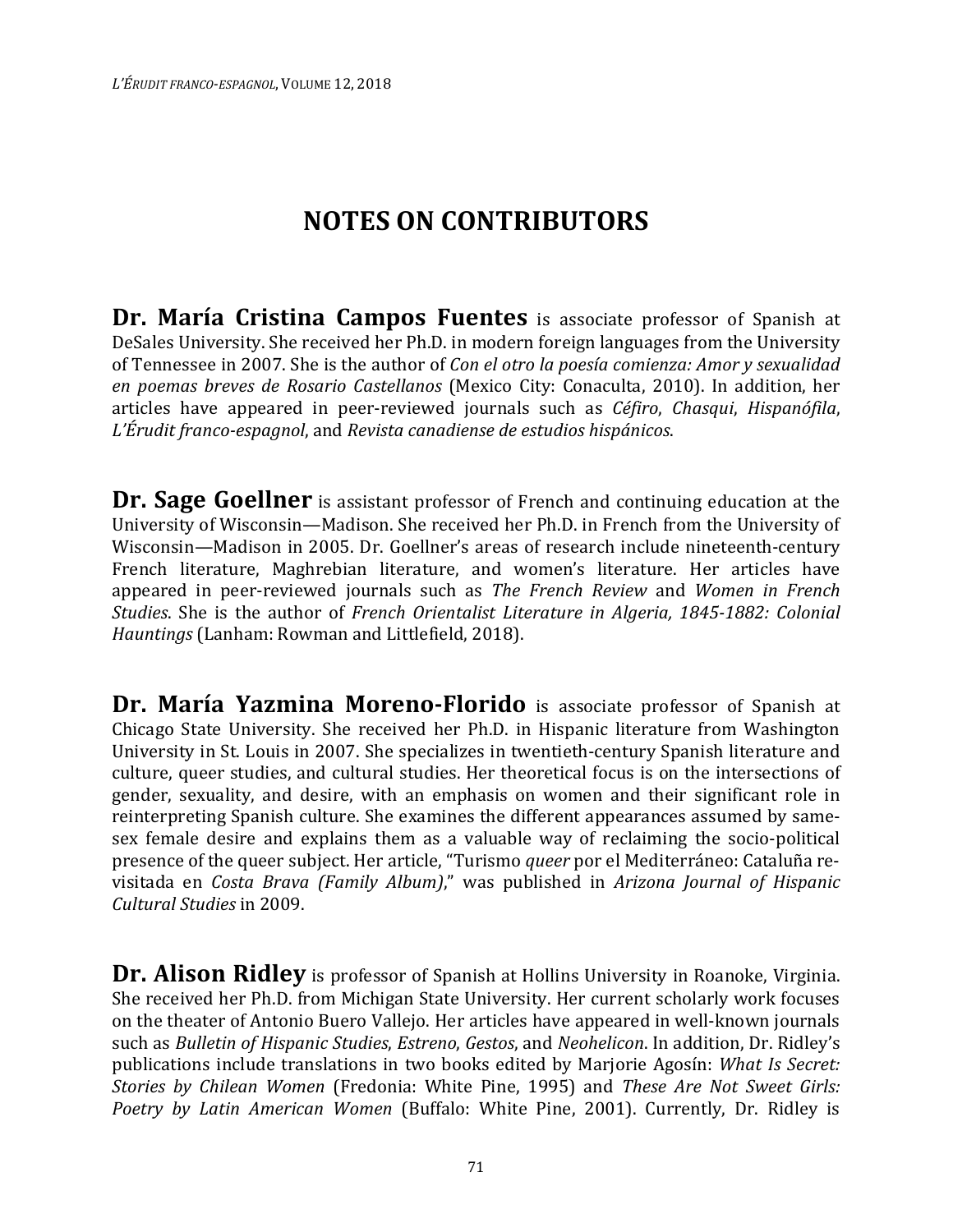## **NOTES ON CONTRIBUTORS**

**Dr. María Cristina Campos Fuentes** is associate professor of Spanish at DeSales University. She received her Ph.D. in modern foreign languages from the University of Tennessee in 2007. She is the author of *Con el otro la poesía comienza: Amor y sexualidad en poemas breves de Rosario Castellanos* (Mexico City: Conaculta, 2010). In addition, her articles have appeared in peer-reviewed journals such as *Céfiro*, *Chasqui*, *Hispanófila*, *L'Érudit franco-espagnol*, and *Revista canadiense de estudios hispánicos*.

**Dr. Sage Goellner** is assistant professor of French and continuing education at the University of Wisconsin—Madison. She received her Ph.D. in French from the University of Wisconsin—Madison in 2005. Dr. Goellner's areas of research include nineteenth-century French literature, Maghrebian literature, and women's literature. Her articles have appeared in peer-reviewed journals such as *The French Review* and *Women in French Studies*. She is the author of *French Orientalist Literature in Algeria, 1845-1882: Colonial Hauntings* (Lanham: Rowman and Littlefield, 2018).

**Dr. María Yazmina Moreno-Florido** is associate professor of Spanish at Chicago State University. She received her Ph.D. in Hispanic literature from Washington University in St. Louis in 2007. She specializes in twentieth-century Spanish literature and culture, queer studies, and cultural studies. Her theoretical focus is on the intersections of gender, sexuality, and desire, with an emphasis on women and their significant role in reinterpreting Spanish culture. She examines the different appearances assumed by samesex female desire and explains them as a valuable way of reclaiming the socio-political presence of the queer subject. Her article, "Turismo *queer* por el Mediterráneo: Cataluña revisitada en *Costa Brava (Family Album)*," was published in *Arizona Journal of Hispanic Cultural Studies* in 2009.

Dr. Alison Ridley is professor of Spanish at Hollins University in Roanoke, Virginia. She received her Ph.D. from Michigan State University. Her current scholarly work focuses on the theater of Antonio Buero Vallejo. Her articles have appeared in well-known journals such as *Bulletin of Hispanic Studies*, *Estreno*, *Gestos*, and *Neohelicon*. In addition, Dr. Ridley's publications include translations in two books edited by Marjorie Agosín: *What Is Secret: Stories by Chilean Women* (Fredonia: White Pine, 1995) and *These Are Not Sweet Girls: Poetry by Latin American Women* (Buffalo: White Pine, 2001). Currently, Dr. Ridley is